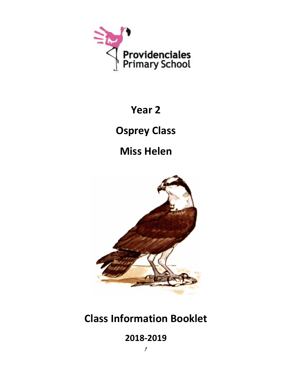

# **Year 2**

**Osprey Class**

**Miss Helen**



# **Class Information Booklet**

**2018-2019**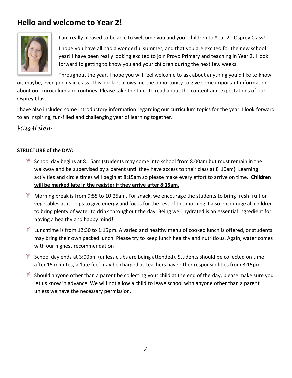# **Hello and welcome to Year 2!**



I am really pleased to be able to welcome you and your children to Year 2 - Osprey Class!

I hope you have all had a wonderful summer, and that you are excited for the new school year! I have been really looking excited to join Provo Primary and teaching in Year 2. I look forward to getting to know you and your children during the next few weeks.

Throughout the year, I hope you will feel welcome to ask about anything you'd like to know

or, maybe, even join us in class. This booklet allows me the opportunity to give some important information about our curriculum and routines. Please take the time to read about the content and expectations of our Osprey Class.

I have also included some introductory information regarding our curriculum topics for the year. I look forward to an inspiring, fun-filled and challenging year of learning together.

*Miss Helen*

### **STRUCTURE of the DAY:**

- $*$  School day begins at 8:15am (students may come into school from 8:00am but must remain in the walkway and be supervised by a parent until they have access to their class at 8:10am). Learning activities and circle times will begin at 8:15am so please make every effort to arrive on time. **Children will be marked late in the register if they arrive after 8:15am.**
- $*$  Morning break is from 9:55 to 10:25am. For snack, we encourage the students to bring fresh fruit or vegetables as it helps to give energy and focus for the rest of the morning. I also encourage all children to bring plenty of water to drink throughout the day. Being well hydrated is an essential ingredient for having a healthy and happy mind!
- $*$  Lunchtime is from 12:30 to 1:15pm. A varied and healthy menu of cooked lunch is offered, or students may bring their own packed lunch. Please try to keep lunch healthy and nutritious. Again, water comes with our highest recommendation!
- $*$  School day ends at 3:00pm (unless clubs are being attended). Students should be collected on time after 15 minutes, a 'late fee' may be charged as teachers have other responsibilities from 3:15pm.
- $*$  Should anyone other than a parent be collecting your child at the end of the day, please make sure you let us know in advance. We will not allow a child to leave school with anyone other than a parent unless we have the necessary permission.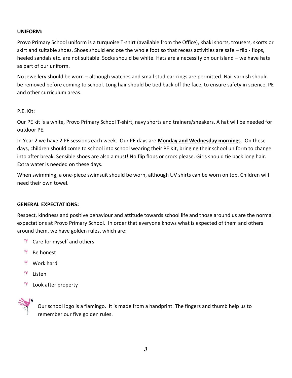#### **UNIFORM:**

Provo Primary School uniform is a turquoise T-shirt (available from the Office), khaki shorts, trousers, skorts or skirt and suitable shoes. Shoes should enclose the whole foot so that recess activities are safe – flip - flops, heeled sandals etc. are not suitable. Socks should be white. Hats are a necessity on our island – we have hats as part of our uniform.

No jewellery should be worn – although watches and small stud ear-rings are permitted. Nail varnish should be removed before coming to school. Long hair should be tied back off the face, to ensure safety in science, PE and other curriculum areas.

#### P.E. Kit:

Our PE kit is a white, Provo Primary School T-shirt, navy shorts and trainers/sneakers. A hat will be needed for outdoor PE.

In Year 2 we have 2 PE sessions each week. Our PE days are **Monday and Wednesday mornings**. On these days, children should come to school into school wearing their PE Kit, bringing their school uniform to change into after break. Sensible shoes are also a must! No flip flops or crocs please. Girls should tie back long hair. Extra water is needed on these days.

When swimming, a one-piece swimsuit should be worn, although UV shirts can be worn on top. Children will need their own towel.

#### **GENERAL EXPECTATIONS:**

Respect, kindness and positive behaviour and attitude towards school life and those around us are the normal expectations at Provo Primary School. In order that everyone knows what is expected of them and others around them, we have golden rules, which are:

- <sup>\*</sup> Care for myself and others
- $\frac{1}{2}$ Be honest
- $\frac{1}{2}$ Work hard
- 锄 Listen
- Look after property



Our school logo is a flamingo. It is made from a handprint. The fingers and thumb help us to remember our five golden rules.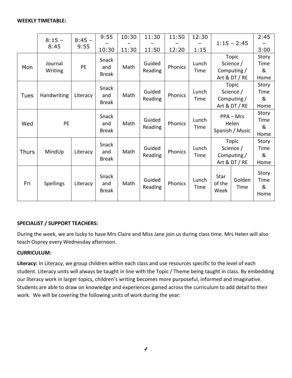|              | $8:15 -$           | $8:45 -$<br>9:55 | 9:55                         | 10:30 | 11:30             | 11:50   | 12:30         |                                         |                    | 2:45                       |
|--------------|--------------------|------------------|------------------------------|-------|-------------------|---------|---------------|-----------------------------------------|--------------------|----------------------------|
|              | 8:45               |                  |                              |       |                   |         |               |                                         | $1:15 - 2:45$      |                            |
|              |                    |                  | 10:30                        | 11:30 | 11:50             | 12:20   | 1:15          |                                         |                    | 3:00                       |
| Mon          | Journal<br>Writing | PE               | Snack<br>and<br><b>Break</b> | Math  | Guided<br>Reading | Phonics | Lunch         |                                         | Topic<br>Science / | Story<br>Time              |
|              |                    |                  |                              |       |                   |         | Time          | Computing /                             |                    | &                          |
|              |                    |                  |                              |       |                   |         |               |                                         | Art & DT / RE      | Home                       |
| <b>Tues</b>  | Handwriting        | Literacy         | Snack<br>and<br><b>Break</b> | Math  | Guided<br>Reading | Phonics |               | Topic                                   |                    | Story                      |
|              |                    |                  |                              |       |                   |         | Lunch         |                                         | Science /          | Time                       |
|              |                    |                  |                              |       |                   |         | Time          | Computing /                             |                    | &                          |
|              |                    |                  |                              |       |                   |         |               | Art & DT / RE                           |                    | Home                       |
| Wed          | PE                 |                  | Snack<br>and<br><b>Break</b> | Math  | Guided<br>Reading | Phonics | Lunch<br>Time | $PPA - Mrs$<br>Helen<br>Spanish / Music |                    | Story<br>Time              |
|              |                    |                  |                              |       |                   |         |               |                                         |                    | &<br>Home                  |
| <b>Thurs</b> | MindUp             | Literacy         | Snack<br>and<br><b>Break</b> | Math  | Guided<br>Reading | Phonics |               | Topic                                   |                    | Story                      |
|              |                    |                  |                              |       |                   |         | Lunch         |                                         | Science /          |                            |
|              |                    |                  |                              |       |                   |         | Time          | Computing /                             |                    | &                          |
|              |                    |                  |                              |       |                   |         |               | Art & DT / RE                           |                    | Home                       |
| Fri          | Spellings          | Literacy         | Snack<br>and<br><b>Break</b> | Math  | Guided<br>Reading | Phonics | Lunch<br>Time | Star<br>of the<br>Week                  | Golden<br>Time     | Story<br>Time<br>&<br>Home |

#### **SPECIALIST / SUPPORT TEACHERS:**

During the week, we are lucky to have Mrs Claire and Miss Jane join us during class time. Mrs Helen will also teach Osprey every Wednesday afternoon.

#### **CURRICULUM:**

**Literacy:** In Literacy, we group children within each class and use resources specific to the level of each student. Literacy units will always be taught in line with the Topic / Theme being taught in class. By embedding our literacy work in larger topics, children's writing becomes more purposeful, informed and imaginative. Students are able to draw on knowledge and experiences gained across the curriculum to add detail to their work. We will be covering the following units of work during the year: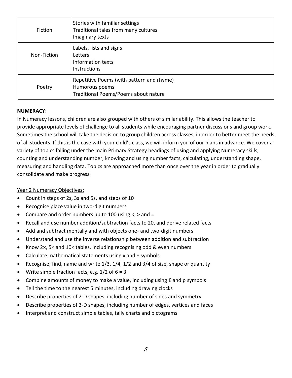| <b>Fiction</b> | Stories with familiar settings<br>Traditional tales from many cultures<br>Imaginary texts           |
|----------------|-----------------------------------------------------------------------------------------------------|
| Non-Fiction    | Labels, lists and signs<br>Letters<br>Information texts<br><b>Instructions</b>                      |
| Poetry         | Repetitive Poems (with pattern and rhyme)<br>Humorous poems<br>Traditional Poems/Poems about nature |

#### **NUMERACY:**

In Numeracy lessons, children are also grouped with others of similar ability. This allows the teacher to provide appropriate levels of challenge to all students while encouraging partner discussions and group work. Sometimes the school will take the decision to group children across classes, in order to better meet the needs of all students. If this is the case with your child's class, we will inform you of our plans in advance. We cover a variety of topics falling under the main Primary Strategy headings of using and applying Numeracy skills, counting and understanding number, knowing and using number facts, calculating, understanding shape, measuring and handling data. Topics are approached more than once over the year in order to gradually consolidate and make progress.

#### Year 2 Numeracy Objectives:

- Count in steps of 2s, 3s and 5s, and steps of 10
- Recognise place value in two-digit numbers
- Compare and order numbers up to 100 using  $\lt$ ,  $>$  and  $=$
- Recall and use number addition/subtraction facts to 20, and derive related facts
- Add and subtract mentally and with objects one- and two-digit numbers
- Understand and use the inverse relationship between addition and subtraction
- Know 2×, 5× and 10× tables, including recognising odd & even numbers
- Calculate mathematical statements using  $x$  and  $\div$  symbols
- Recognise, find, name and write 1/3, 1/4, 1/2 and 3/4 of size, shape or quantity
- Write simple fraction facts, e.g.  $1/2$  of  $6 = 3$
- Combine amounts of money to make a value, including using £ and p symbols
- Tell the time to the nearest 5 minutes, including drawing clocks
- Describe properties of 2-D shapes, including number of sides and symmetry
- Describe properties of 3-D shapes, including number of edges, vertices and faces
- Interpret and construct simple tables, tally charts and pictograms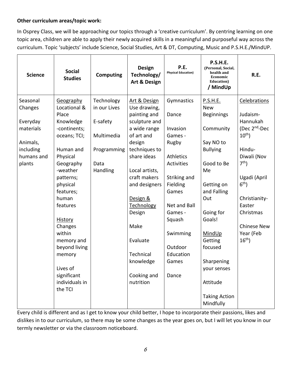### **Other curriculum areas/topic work:**

In Osprey Class, we will be approaching our topics through a 'creative curriculum'. By centring learning on one topic area, children are able to apply their newly acquired skills in a meaningful and purposeful way across the curriculum. Topic 'subjects' include Science, Social Studies, Art & DT, Computing, Music and P.S.H.E./MindUP.

| <b>Science</b> | <b>Social</b><br><b>Studies</b> | <b>Computing</b> | <b>Design</b><br>Technology/<br><b>Art &amp; Design</b> | P.E.<br><b>Physical Education)</b> | <b>P.S.H.E.</b><br>(Personal, Social,<br>health and<br>Economic<br><b>Education</b> )<br>/ MindUp | R.E.                      |
|----------------|---------------------------------|------------------|---------------------------------------------------------|------------------------------------|---------------------------------------------------------------------------------------------------|---------------------------|
| Seasonal       | <b>Geography</b>                | Technology       | Art & Design                                            | Gymnastics                         | P.S.H.E.                                                                                          | Celebrations              |
| Changes        | Locational &                    | in our Lives     | Use drawing,                                            |                                    | <b>New</b>                                                                                        |                           |
|                | Place                           |                  | painting and                                            | Dance                              | <b>Beginnings</b>                                                                                 | Judaism-                  |
| Everyday       | Knowledge                       | E-safety         | sculpture and                                           |                                    |                                                                                                   | Hannukah                  |
| materials      | -continents;                    |                  | a wide range                                            | Invasion                           | Community                                                                                         | (Dec 2 <sup>nd</sup> -Dec |
|                | oceans; TCI;                    | Multimedia       | of art and                                              | Games -                            |                                                                                                   | $10^{th}$ )               |
| Animals,       |                                 |                  | design                                                  | Rugby                              | Say NO to                                                                                         |                           |
| including      | Human and                       | Programming      | techniques to                                           |                                    | <b>Bullying</b>                                                                                   | Hindu-                    |
| humans and     | Physical                        |                  | share ideas                                             | <b>Athletics</b>                   |                                                                                                   | Diwali (Nov               |
| plants         | Geography                       | Data             |                                                         | Activities                         | Good to Be                                                                                        | 7 <sup>th</sup>           |
|                | -weather                        | Handling         | Local artists,                                          |                                    | Me                                                                                                |                           |
|                | patterns;                       |                  | craft makers                                            | Striking and                       |                                                                                                   | Ugadi (April              |
|                | physical                        |                  | and designers                                           | Fielding                           | Getting on                                                                                        | 6 <sup>th</sup>           |
|                | features;                       |                  |                                                         | Games                              | and Falling                                                                                       |                           |
|                | human                           |                  | Design &                                                |                                    | Out                                                                                               | Christianity-             |
|                | features                        |                  | Technology                                              | Net and Ball                       |                                                                                                   | Easter                    |
|                |                                 |                  | Design                                                  | Games -                            | Going for                                                                                         | Christmas                 |
|                | <b>History</b>                  |                  |                                                         | Squash                             | Goals!                                                                                            |                           |
|                | Changes                         |                  | Make                                                    |                                    |                                                                                                   | <b>Chinese New</b>        |
|                | within                          |                  |                                                         | Swimming                           | MindUp                                                                                            | Year (Feb                 |
|                | memory and                      |                  | Evaluate                                                |                                    | Getting                                                                                           | 16 <sup>th</sup>          |
|                | beyond living                   |                  |                                                         | Outdoor                            | focused                                                                                           |                           |
|                | memory                          |                  | Technical                                               | Education                          |                                                                                                   |                           |
|                |                                 |                  | knowledge                                               | Games                              | Sharpening                                                                                        |                           |
|                | Lives of                        |                  |                                                         |                                    | your senses                                                                                       |                           |
|                | significant                     |                  | Cooking and                                             | Dance                              |                                                                                                   |                           |
|                | individuals in                  |                  | nutrition                                               |                                    | Attitude                                                                                          |                           |
|                | the TCI                         |                  |                                                         |                                    |                                                                                                   |                           |
|                |                                 |                  |                                                         |                                    | <b>Taking Action</b>                                                                              |                           |
|                |                                 |                  |                                                         |                                    | Mindfully                                                                                         |                           |

Every child is different and as I get to know your child better, I hope to incorporate their passions, likes and dislikes in to our curriculum, so there may be some changes as the year goes on, but I will let you know in our termly newsletter or via the classroom noticeboard.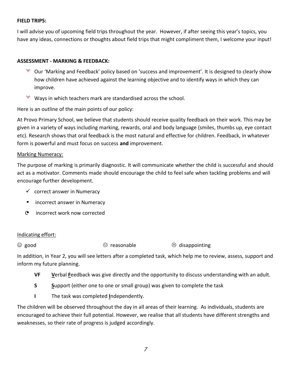#### **FIELD TRIPS:**

I will advise you of upcoming field trips throughout the year. However, if after seeing this year's topics, you have any ideas, connections or thoughts about field trips that might compliment them, I welcome your input!

#### **ASSESSMENT - MARKING & FEEDBACK:**

- $*$  Our 'Marking and Feedback' policy based on 'success and improvement'. It is designed to clearly show how children have achieved against the learning objective and to identify ways in which they can improve.
- ₹ Ways in which teachers mark are standardised across the school.

Here is an outline of the main points of our policy:

At Provo Primary School, we believe that students should receive quality feedback on their work. This may be given in a variety of ways including marking, rewards, oral and body language (smiles, thumbs up, eye contact etc). Research shows that oral feedback is the most natural and effective for children. Feedback, in whatever form is powerful and must focus on success **and** improvement.

#### Marking Numeracy:

The purpose of marking is primarily diagnostic. It will communicate whether the child is successful and should act as a motivator. Comments made should encourage the child to feel safe when tackling problems and will encourage further development.

- $\checkmark$  correct answer in Numeracy
- incorrect answer in Numeracy
- C incorrect work now corrected

#### Indicating effort:

 $\odot$  good  $\odot$  reasonable  $\odot$  disappointing

In addition, in Year 2, you will see letters after a completed task, which help me to review, assess, support and inform my future planning.

- **VF V**erbal **F**eedback was give directly and the opportunity to discuss understanding with an adult.
- **S S**upport (either one to one or small group) was given to complete the task
- **I** The task was completed **I**ndependently.

The children will be observed throughout the day in all areas of their learning. As individuals, students are encouraged to achieve their full potential. However, we realise that all students have different strengths and weaknesses, so their rate of progress is judged accordingly.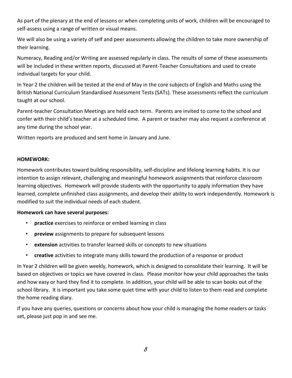As part of the plenary at the end of lessons or when completing units of work, children will be encouraged to self-assess using a range of written or visual means.

We will also be using a variety of self and peer assessments allowing the children to take more ownership of their learning.

Numeracy, Reading and/or Writing are assessed regularly in class. The results of some of these assessments will be included in these written reports, discussed at Parent-Teacher Consultations and used to create individual targets for your child.

In Year 2 the children will be tested at the end of May in the core subjects of English and Maths using the British National Curriculum Standardised Assessment Tests (SATs). These assessments reflect the curriculum taught at our school.

Parent-teacher Consultation Meetings are held each term. Parents are invited to come to the school and confer with their child's teacher at a scheduled time. A parent or teacher may also request a conference at any time during the school year.

Written reports are produced and sent home in January and June.

#### **HOMEWORK:**

Homework contributes toward building responsibility, self-discipline and lifelong learning habits. It is our intention to assign relevant, challenging and meaningful homework assignments that reinforce classroom learning objectives. Homework will provide students with the opportunity to apply information they have learned, complete unfinished class assignments, and develop their ability to work independently. Homework is modified to suit the individual needs of each student.

#### **Homework can have several purposes:**

- **practice** exercises to reinforce or embed learning in class
- **preview** assignments to prepare for subsequent lessons
- **extension** activities to transfer learned skills or concepts to new situations
- **creative** activities to integrate many skills toward the production of a response or product

In Year 2 children will be given weekly, homework, which is designed to consolidate their learning. It will be based on objectives or topics we have covered in class. Please monitor how your child approaches the tasks and how easy or hard they find it to complete. In addition, your child will be able to scan books out of the school library. It is important you take some quiet time with your child to listen to them read and complete the home reading diary.

If you have any queries, questions or concerns about how your child is managing the home readers or tasks set, please just pop in and see me.